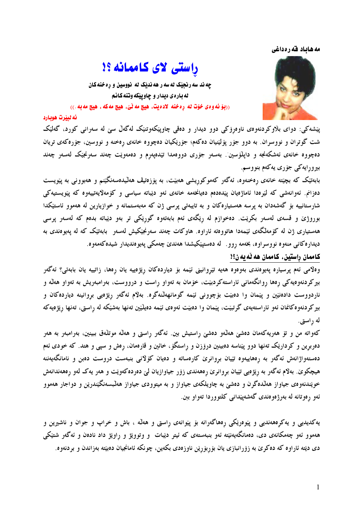## مه هاياد قه رهداغي

راستی لای کاممانه ؟!



چه ند سه رنجیّک له سه ر هه ندیّک له نووسین و رِه خنه کان له باره ی دیدار و چاوییکه وتنه کانم ((بِوْ نُه ودي خوّت له ردخنه لادهيت، هيچ مه نّيّ، هيچ مه كه ، هيچ مه به .))

## ئەلىترت ھويارد

پێشەكى: دواي بلاوكردنەوەي ناوەرۆكى دوو ديدار و دەقى چاوپێكەوتنێک لەگەلْ سىّ لە سەرانى كورد، گەلێک شت گوتران و نووسران. به دوو جۆر پۆلتنیان دەكەم؛ جۆرپكیان دەچووە خانەي رەخنە و نووسین، جۆرەكەي تریان دەچووە خانەي ئەشكەنجە و داپلۆسىن . بەسەر جۆرى دووەمدا تېدەپەرم و دەمەوپت چەند سەرنجيك لەسەر چەند بيرورايەكى جۆرى يەكەم بنووسم.

بابەتپک کە بچپتە خانەي رەخنەوە، ئەگەر كەموكورىشى ھەبپت، بە پۆزەتپڤ ھەلىپدەسەنگینم و ھەبوونى بە پیويست دەزانم. ئەوانەشى كە لێرەدا ئاماژەيان پێدەدەم دەيانخەمە خانەي ئەو دێباتە سياسى و كۆمەلايەتىيەوە كە پێويستيەكى شارستانییه بۆ گەشەدان به یرسه هەستیارەکان و به تایبەتی یرسی ژن که مەبەستمانه و خوازیارین له هەموو ئاستێکدا بوروژێ و قسهی لهسهر بکریت. دهخوازم له ریگهی ئهم بابهتهوه گوریکی تر بهو دیباته بدهم که لهسهر پرسی ههستیاری ژن له کۆمەلگەی ئێمەدا هاتووەتە ئاراوە. هاوکات چەند سەرنجێکیش لەسەر بابەتێک کە لە يەيوەندی بە دیداره کانی منهوه نووسراوه، بخهمه روو . له دهستیپکیشدا ههندی چهمکی یهیوهندیدار شیدهکهمهوه.

## كاممان راستين، كاممان هه ٽه په ن؟!

وهلامی ئهم پرسیاره پهیوهندی بهوهوه ههیه تیروانینی ئیمه بۆ دیاردهکان ریژهییه یان رهها، زاتییه یان بابهتی؟ ئهگهر بیرکردنهوهیهکی رهها روانگهمانی ئاراستهکردبیّت، خۆمان به تهواو رِاست و درووست، بهرامبهریش به تهواو ههلّه و ناردووست دادهنین و پیمان وا دهبیت بۆچوونی ئیّمه گومانههلْنهگره. بهلاّم ئهگهر ریّژهیی بروانینه دیاردهکان و بیر کردنهوهکانمان ئهو ئاراستهیهی گرتبیّت، پیّمان وا دهبیّت ئهوهی ئیّمه دهیلّیّین تهنها بهشیّکه له رِاستی، تهنها رِیژهیهکه له راستي.

کەواتە من و تۆ ھەريەکەمان دەشىّ ھەڭەو دەشىّ راستيش بين. ئەگەر راستى و ھەڭە موتلەق ببينين، بەرامبەر بە ھەر دهربرین و کرداریک تهنها دوو پیناسه دهبینین دروزن و راستگوّ، خائین و قارهمان، رهش و سپی و هتد. که خودی ئهم دهستهواژانهش ئهگهر به رههاییهوه تێیان بروانرێ کارهساته و دهیان کۆلانی بنبهست دروست دهبن و نامانگهیهننه هیچکوێ. بهلام ئهگەر به رێژەیی تێیان بروانرێ رەھەندی زۆر جیاوازیان لێ دەردەکەوێت و ھەر یەک لەو رەھەندانەش خویندنهووی جیاواز ههالدهگرن و دهشه به چاویلکهی جیاواز و به میتوودی جیاواز ههالبسهنگیندرین و دواجار ههموو ئهو رەوتانه له بەرژەوەندى گەشەيپىدانى كلتووردا تەواو بىن.

یهکدیدیی و یهکرهههندیی و پیوهریکی رههاگهرانه بۆ پیوانهی راستی و ههله ، باش و خراپ و جوان و ناشیرین و ههموو ئەو چەمكانەي دى، دەمانگەيەنپتە ئەو بنبەستەي كە ئيتر ديبات و وتوويژ و راويژ داد نادەن و ئەگەر شتيكى دی دیته ئاراوه که دهکری به زوّرانبازی یان بۆربۆریْن ناوزەدی بکەین، چونکه ئامانجیان دەبیّته بەزاندن و بردنەوه.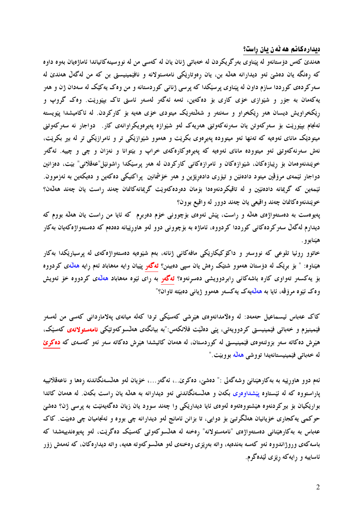دیداره کانم هه نّه ن یان راست؟

ههندی کهس دۆستانهو له پیناوی بهرگریکردن له خهباتی ژنان یان له کهسی من له نووسینهکانیاندا ئاماژهیان بهوه داوه که رەنگە يان دەشىؒ ئەو ديدارانە ھەڭ بن، يان رەوتارێکى نامەسئولانە و نافێمینیستى بن کە من لەگەلْ ھەندێ لە سهرکردهی کورددا سازم داون له پیناوی پرسیکدا که پرسی ژنانی کوردستانه و من وهک یهکیک له سهدان ژن و ههر پهکهمان به جۆړ و شێوازې خۆې کارې بۆ دەکەين، ئەمە ئەگەر لەسەر ئاستى تاک بیێورێت. وەک گروپ و رنِکخراویش دیسان ههر رنِکخراو و سهنتهر و شهلٌتهرنِک میتودی خوْی ههیه بوْ کارکردن ِ له ئاکامیشدا پیْویسته ئەنجام بیپوریت بۆ سەركەوتن یان سەرنەكەوتنى ھەریەك لەو شپوازە پەيرەوپكراوانەي كار . دواجار نە سەركەوتنى میتودیک مانای ئەوەیە کە تەنھا ئەو میتوودە پەیرەوی بکریت و هەموو شیوازیکی تر و ئامرازیکی تر لە بیر بکریت، نهش سهرنهکهوتنی ئهو میتووده مانای ئهوهیه که پهیرهوکارهکهی خراپ و بێتوانا و نهزان و چی و چییه. ئهگهر خویندنهوممان بۆ ریبازەكان، شیوازەكان و ئامرازەكانى كاركردن لە ھەر پرسپكدا راشونیل"عەقلانى" بیت، دەزانین دواجار ئیمهی مرۆڤین میتود دادەنین و تیۆری دادەریزین و هەر خۆشمانین پراکتیکی دەکەین و دەیکەین بە ئەزموون. ئیّمهین که گریمانه دادهنیّین و له تاقیکردنهوهدا بۆمان دەردەکەوپّت گریمانهکانمان چەند راست یان چەند ھەلّەن؟ خويندنهوه كانمان چەند واقيعي يان چەند دوور له واقيع بوون؟

پهیوهست به دهستهواژهی ههلّه و رِاست، پیّش ئهوهی بۆچوونی خۆم دەربرم که ئایا من راست یان هەلّە بووم که دیدارم لهگەل سەركردەكانى كورددا كردووه، ئاماژه بە بۆچوونى دوو لەو ھاوړیّیانه دەدەم كە دەستەواژەكەيان بەكار هێنابو و .

خاتوو روئیا تلوعی که نووسهر و داکۆکیکارێکی مافهکانی ژنانه، بهم شێوهیه دهستهواژهکهی له پرسیارێکدا بهکار هیّناوه: " بۆ بری٘ک له دۆستان هەموو شتی٘ک رِەش یان سپی دەبینن؟ **ئەگەر** پێیان وایه مەھاباد ئەم رِایە <u>ھەلّە</u>ی کردووە بۆ يەكسەر تەواوى كارە باشەكانى رابردوويشى دەسرنەوە؟ **ئەگەر** بە راى ئێوە مەھاباد ھەلّەى كردووە خۆ ئەويش وه ک ئيوه مروّڤه، ئايا به هەللەيەک يەکسەر ھەموو ژيانى دەبيّتە تاوان؟"

کاک عهباس ئیسماعیل حممهد: له وهلامدانهوهی هیرشی کهسیکی تردا کهله میانهی پهلاماردانی کهسی من لهسهر فێمینیزم و خەباتی فێمینیستی کردوویەتی، پێی دەڵێت فلانکەس:"بە بیانگەی ھەڵسوکەوتێکی **نامەسئولانەی** کەسێک، هیّرش دهکاته سهر بزوتنهوهی فیّمینیستی له کوردستان، له ههمان کاتیشدا هیّرش دهکاته سهر ئهو کهسهی که <mark>دهکریّ</mark> لە خەباتى فێمينيستانەيدا تووشى ھەڭە بووبێت."

ئهم دوو هاورتيه به بهكارهيّنانيّ وشهگهلي :" دەشىيّ، دەكرىّ… ئەگەر…، خۆيان لەو ھەلسەنگاندنە رەھا و ناعەقلانييە یاراستووه که له ئیستاوه پیشداوهری بکهن و ههایسهنگاندنی ئهو دیدارانه به ههانه یان راست بکهن ِ له ههمان کاتدا بواریکیان بۆ بیرکردنەوه هیشتووەتەوە لەوەي ئایا دیداریکی وا چەند سوود یان زیان دەگەپەنیت بە پرسی ژن؟ دەشىً حوکمی پهکجاری خۆپانیان هەڭگرتبې بۆ دوايي، تا بزانن ئامانج لەو ديدارانه چی بووه و ئەنجامیان چی دەبیت. کاک عەباس بە بەكارهێنانى دەستەواژەي "نامەسئولانە" رەخنە لە ھەلسوكەوتى كەسێك دەگرێت، لەو پەيوەندييەشدا كە باسه کهی وروژاندووه ئهو کهسه بهندهیه، واته بهریزی رهخنهی لهو ههایسوکهوته ههیه، واته دیدارهکان، که ئهمهش زۆر ئاساييه و رايهكه رێزي لێدهگرم.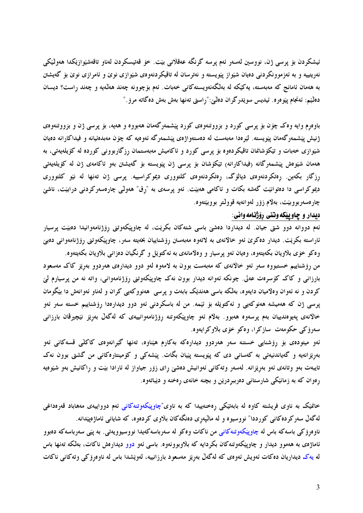ئيشكردن بۆ يرسى ژن، نووسين لەسەر ئەم يرسە گرنگە عەقلانىي بيت. خۆ قەتپسكردن لەناو تاقەشيوازيكدا ھەولىيكى نهریتییه و به ئهزموونکردنی دهیان شیواز پیویسته و نهترسان له تاقیکردنهوهی شیوازی نوی و ئامرازی نوی بۆ گەیشتن به ههمان ئامانج که مهبهسته، یهکیکه له بهلگهنهویستهکانی خهبات. ئهم بۆچوونه چهند ههلّمیه و چهند راست؟ دیسان دهڭيم: ئەنجام يێوەرە. ئيديس سوێدرگران دەڭێ:"راستى تەنھا بەش بەش دەگاتە مرۆ ."

باوهرم وایه وه ک چۆن بۆ پرسی کورد و بزووتنهوهی کورد پیشمهرگهمان ههبووه و ههیه، بۆ پرسی ژن و بزووتنهوهی ژنیش پیشمهرگهمان پیویسته. لیرودا مهبهست له دهستهواژهی پیشمهرگه ئهوویه که چۆن مهبدهئیانه و فیداکارانه دهیان شێوازی خهبات و تێکۆشانمان تاقیکردەوە بۆ پرسی کورد و ئاکامیش مەبەستمان ڕزگاربوونی کوردە لە کۆیلەیەتی، بە هەمان شێوەش پێشىمەرگانە (فيداكارانە) تێكۆشان بۆ يوسى ژن پێويستە بۆ گەيشتن بەو ئاكامەي ژن لە كۆيلەيەتى ړزگار بکهین رهتکردنهوهی دیالۆگ، رهتکردنهوهی کلتووری دیموکراسییه. پرسی ژن تهنها له نیو کلتووری دیموکراسی دا دەتوانیت گەشە بکات و ئاکامی ھەبیّت. ئەو پرسەی بە "رق" ھەولّى چارەسەرکردنی درابیّت، ناشىّ چارەسەربووبێت، بەلام زۆر لەوانەيە قوولتر بووبێتەوە.

## ديدار و چاوپيکه وتني روّژنامه واني:

ئهم دووانه دوو شتی جیان. له دیداردا دهشیٰ باسی شتهکان بکریْت، له چاوپیکهوتنی رۆژنامهوانیدا دهبیْت پرسیار ئاراسته بکریت. دیدار دەکرێ ئەو خالانەي بە لاتەوە مەبەستن رۆشناييان بخەيتە سەر، چاوپێکەوتنى رۆژنامەوانى دەبىێ وه کو خۆی بلاویان بکهیتهوه، وهیان ئهو پرسیار و وهلامانهی به ئه کتوپل و گرنگیان دهزانبی بلاویان بکهیتهوه. من رۆشناييم خستبووه سەر ئەو خالانەي كە مەبەست بوون بە لامەوە لەو دوو ديدارەي ھەردوو بەرێز كاك مەسعود بارزانی و کاک کۆسرەت عەلی. چونکە ئەوانە ديدار بوون نەک چاوپێکەوتنی رۆژنامەوانی، واتە نە من پرسيارم لێ کردن و نه ئەوان وەلاميان دايەوە، بەلكە باسى ھەندێک بابەت و پرسى ھەنووكەيى كران و لەناو ئەوانەش دا بێگومان پرسی ژن که ههمیشه هەنوکەیی و ئەکتوپلە بۆ ئێمە. من لە باسکردنی ئەو دوو دیدارەدا رۆشناییم خسته سەر ئەو خالانەي پەيوەندىيان بەم پرسەوە ھەبوو. بەلام ئەو چاوپێكەوتنە رۆژنامەوانييەي كە لەگەلْ بەرێز نێچىرڤان بارزانى سەرۆكى حكومەت سازكرا، وەكو خۆى بلاوكرايەوە.

ئەو میتودەی بۆ رۆشنایی خستنه سەر ھەردوو دیدارەکە بەکارم ھێناوە، تەنھا گێرانەوەی کاکلّی قسەکانی ئەو بەرێزانەيە و گەياندنيەتى بە كەسانى دى كە پێويستە پێيان بگات. پێشەكى و كۆمينتارەكانى من گشتى بوون نەك تایبهت بهو وتانهی ئهو بهرِیْزانه. لهسهر وتهکانی ئهوانیش دهشیّ رِای زوّر جیاواز له ئارادا بیّت و رِاکانیش بهو شیّوهیه رەوان كه به زمانێكى شارستانى دەرببردرێن و بچنه خانەي رەخنه و دێباتەوە.

خانمیک به ناوی فریشته کاوه له بابهتیکی رهخنهییدا که به ناوی"چاوییکهوتنهکانی ئهم دوواییهی مههاباد قهرهداغی لهگەلْ سەركردەكانى كورددا" نووسيوە و لە مالْپەرى دەنگەكان بلاوى كردەوە، كە شايانى ئاماژەپێدانە. ناوەرۆكى باسەكە باس لە چاوپێكەوتنەكانى من ناكات وەكو لە سەرباسەكەيدا نووسيوويەتى. بە پێى سەرباسەكە دەبوو ئاماژەي بە ھەموو ديدار و چاوپێکەوتنەکان بکردايە کە بلاوبوونەوە. باسى ئەو دوو ديدارەش ناکات، بەلکە تەنھا باس له يهك ديداريان دەكات ئەويش ئەوەي كە لەگەل بەرپز مەسعود بارزانييە، لەوپشدا باس لە ناوەرۆكى وتەكانى ناكات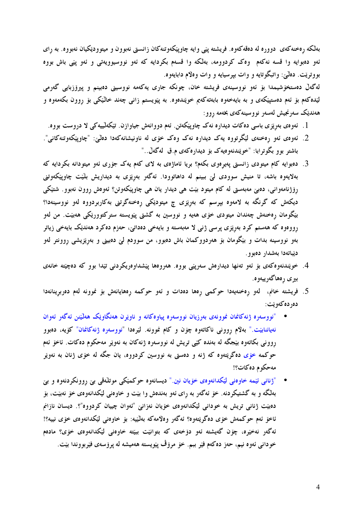بهلکه رهخنهکهی دووره له دهقهکهوه. فریشته پێی وایه چاوپێکهوتنهکان زانستی نهبوون و میتوودێکیان نهبووه. به رای ئەو دەبوايە وا قسه نەكەم وەك كردوومە، بەلكە وا قسەم بكردايە كە ئەو نووسيوويەتى و ئەو پێى باش بووە بووتريّت. دهٽيٰ: واتبگوتايه و وات بپرسيايه و وات وهلام دابايهوه.

لەگەل دەستخۆشيمدا بۆ ئەو نووسينەي فريشتە خان، چونكە جارى يەكەمە نووسينى دەبينم و پيرۆزبايى گەرمى لیّدهکهم بۆ ئەم دەستپی٘کەی و بە بایەخەوە بابەتەکەیم خوێندەوە. بە پێویستم زانی چەند خال٘یٚکی بۆ روون بکەمەوە و هەندیک سەرنجیش لەسەر نووسینەکەی بخەمە روو:

- 1. ئەوەي بەرێزى باسى دەكات ديدارە نەك چاويێكەتن. ئەم دووانەش جياوازن. تێكەلٽييەكى لا دروست بووە.
- 2. ئەوەي ئەو رەخنەي لێگرتووە يەك ديدارە نەك وەك خۆي لە ناونيشانەكەدا دەلىؒ: "چاوپێكەوتنەكانى". باشتر بوو بگوترابا: "خوێندنهوهيهک بۆ ديدارەکەي م.ق لەگەل.."
- 3. دەبوايە كام ميتودى زانستى پەيرەوى بكەم؟ بريا ئاماژەى بە لاى كەم يەك جۆرى ئەو ميتودانە بكردايە كە بهلايەوە باشە، تا منیش سوودی لیؒ ببینم له داهاتوودا. ئەگەر بەرێزی بە دیداریش بلیّت چاوپیکەوتنی رۆژنامەوانى، دەبىؒ مەبەستى لە كام ميتود بێت ھى ديدار يان ھى چاوپێكەوتن؟ ئەوەش روون نەبوو. شتێكى دیکەش کە گرنگە بە لامەوە بپرسم کە بەرێزى چ میتودێکى رەخنەگرتنى بەکاربردووە لەو نووسینەدا؟ بێگومان رەخنەش چەندان میتودی خۆی هەیە و نووسین بە گشتی پێویسته سترکتوورێکی هەبێت. من لەو رووەوە كە ھەستم كرد بەرێزى پرسى ژنى لا مەبەستە و بايەخى دەداتىؒ، حەزم دەكرد ھەندێک بايەخى زياتر .<br>بهو نووسینه بدات و بێگومان بۆ هەردووکمان باش دەبوو، من سوودم لێ دەبینی و بەرێزیشی رٍوونتر لەو ديباتەدا بەشدار دەبوو.
- 4. خوپندنهوه کهي بۆ ئەو تەنھا ديدارەش سەريتى بووه. هەروەها پيشداوەريکردنى تيدا بوو که دەچيته خانەي بيري رەھاگەرىيەوە.
- 5. فريشته خانم، لەو رەخنەيەدا حوكمى رەھا دەدات و ئەو حوكمە رەھايانەش بۆ غوونە لەم دەربرينانەدا دەردەكەويت:
- "نووسەرە ژنەكانمان نموونەي بەرزيان نووسەرە يياوەكانە و ناويرن ھەنگاويك ھەلىيىن ئەگەر ئەوان نهياننابيّت." بهلام رووني ناكاتهوه چۆن و كام نموونه. ليّرەدا "نووسەرە ژنەكانمان" كۆيە، دەبوو رووني بكاتەوە بێجگه له بەندە كێپي تريش له نووسەرە ژنەكان بە نەوێر مەحكوم دەكات. ئاخۆ ئەم حوکمه خ<u>ۆی</u> دهگریتهوه که ژنه و دهستی به نووسین کردووه، یان جگه له خۆی ژنان به نهوی<sub>نر</sub> مەحكوم دەكات؟!
- "ژنانی ئێمه خاوهنی لێکدانهوهي خۆیان نین." دیسانهوه حوکمێکی موتلّهقی بێ روونکردنهوه و بێ بهلگه و به گشتیکردنه. خوّ ئهگهر به رای ئهو بهندهش وا بیّت و خاوهنی لیّکدانهوهی خوّ نهبیّت، بوّ دهبیّت ژنانی تریش به خودانی لیّکدانهوهی خوّیان نهزانیّ "ئهوان چییان کردووه"؟. دیسان نازانم ئاخۆ ئەم حوكمەش خۆى دەگرېتەوە؟ ئەگەر وەلامەكە بەلىيە: بۆ خاوەنى ليكدانەوەي خۆى نييە؟! ئەگەر نەخپرە، چۆن گەيشتە ئەو دۆخەى كە بتوانيْت بېيّتە خاوەنى ليْكدانەوەى خۆى؟ مادەم خوداني ئەوە نيم، حەز دەكەم فێر بېم. خۆ مرۆڤ يێويسته ھەمپشە لە پرۆسەي فێربووندا بێت.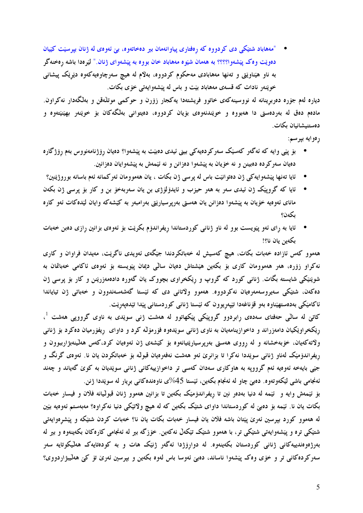• "مەھاباد شتێکی دی کردووه که رەفتاری پیاوانەمان بیر دەخاتەوە، بێ ئەوەی لە ژنان بپرسێت کێیان دهويّت وهک پيّشهوا؟؟؟؟ به ههمان شيّوه مههاباد خان بووه به پيّشهواي ژنان." ليّرهدا باشه رهخنهگر به ناو هیّناویْتی و تەنھا مەھابادی مەحکوم کردووه، بەلاّم له هیچ سەرچاوەیەکەوە دیریک پیشانی خوینهر نادات که قسهی مههاباد بیت و باس له پیشهوایهتی خوّی بکات.

دیاره لهم جۆره دەربرینانه له نووسینهکەی خاتوو فریشتهدا یهکجار زۆرن و حوکمی موتلّەقن و بەلگەدار نەکراون. مادهم دهق له بهردهستی دا ههبووه و خویّندنهوهی بۆیان کردووه، دهیتوانی بهلٌگهکان بۆ خویّنهر بهینیّنتهوه و دەستىيشانيان بكات.

رەوايە بپرسم:

- بۆ پێی وایه که ئهگەر کەسێک سەرکردەیەکی بینی ئیدی دەبێت بە پێشەوا؟ دەيان ڕۆژنامەنووس بەم ڕۆژگارە دهيان سهر كرده دهبينن و نه خوِّيان به پيّشهوا دهزانن و نه ئيّمهش به پيّشهوايان دهزانين.
- ئايا تەنھا يێشەوايەكى ژن دەتوانێت باس لە يرسى ژن بكات ، يان ھەموومان ئەركىمانە ئەم باسانە بوروژێنين؟
- ئایا که گروپیک ژن ئیدی سهر به ههر حیزب و ئایدۆلۆژی بن یان سهربهخو بن و کار بو پرسی ژن بکهن مانای ئەوەيە خۆيان بە يێشەوا دەزانن يان ھەستى بەرپرسيارێتى بەرامبەر بە كێشەكە وايان لێدەكات ئەو كارە بكەن؟
- ئایا به رای ئەو پێویست بوو له ناو ژنانی کوردستاندا ریفراندۆم بکرێت بۆ ئەوەی بزانین رازی دەبن خەبات بكەين يان نا؟!

ههموو کهس ئازاده خهبات بکات، هیچ کهسیش له خهباتکردندا جیّگهی ئهویدی ناگریّت، مهیدان فراوان و کاری نهکراو زۆرە، هەر هەموومان کارى بۆ بکەين هێشتاش دەيان سالْمى ديمان پێويسته بۆ ئەوەى ئاکامى خەباتمان بە شوێنێکی شایسته بگات. ژنانی کورد که گروپ و رێکخراوی بچووک یان گەورە دادەمەزرێنن و کار بۆ یرسی ژن دەكەن، شتېكى سەيروسەمەرەيان نەكردووە. ھەموو ولاتانى دى كە ئېستا گەشەسەندوون و خەباتى ژن تياياندا ئاكامێكى بەدەستھێناوە بەو قۆناغەدا تێپەريوون كە ئێستا ژنانى كوردستانى پێدا تێدەپەرێت.

کاتیٰ له سالی حەفتای سەدەی رابردوو گروپیکی پیکھاتوو له هەشت ژنبی سویْدی به ناوی گرووپی هەشت <sup>1</sup>، ریکخراویکیان دامەزراند و داخوازینامەیان بە ناوی ژنانبی سویْدەوە فۆرمۆلە کرد و داوای ریفۆرمیان دەکرد بۆ ژنانبی ولاتهکهیان، خۆبەخشانه و له رووی هەستی بەربرسیارټیپانەوە بۆ کێشەی ژن ئەوەپان کرد،کەس هەلێپنەبۋارببوون و ریفراندۆمیک لەناو ژنانی سویددا نەکرا تا بزانرێ ئەو ھەشت نەفەرەيان قبولْه بۆ خەباتکردن يان نا. ئەوەي گرنگ و جێبی بایهخه ئەوەیە ئەم گرووپە بە ھاوكارى سەدان كەسبی تر داخوازییەكانبی ژنانبی سوێدیان بە كوێ گەیاند و چەند ئەنجامى باشى لێكەوتەوە. دەبى چاو لە ئەنجام بكەين، ئێستا 45%ى ناوەندەكانى بريار لە سوێددا ژنن.

بَوْ ئَيْمَهْشْ وَايَهْ وَ ئَيْمَهْ لَهْ دَنِيا بِهْدْهْرٍ نَيْنَ تَا رِيفْرانْدَوْمَيْكَ بِكْهِيْنِ تَا بِزَانِينِ هَهْمُوو ژنان قبوليانه فلاّن و فيسار خُهْبات بکات یان نا. ئێمه بۆ دەبىؒ له کوردستاندا داواي شتێک بکەین که له هیچ ولاتێکی دنیا نەکراوە؟ مەبەستم ئەوەيە بێين له ههموو کورد بیرسین ئهریٰ پیّتان باشه فلان یان فیسار خهبات بکات یان نا؟ خهبات کردن شتیّکه و پیّشرهوایهتی شتیکی تره و پیشهوایهتی شتیکی تر، با ههموو شتیک تیکهلْ نهکهین. خوْزگه بیر له ئهنجامی کارهکان بکهینهوه و بیر له .<br>بەرژەوەندىيەكانى ژنانى كوردستان بكەينەوە. لە دوارۆژدا ئەگەر ژن<u>ت</u>ك ھات و بە كودەتايەك ھەلىكوتايە سەر سهرکردهکانی تر و خۆی وهک پیشهوا ناساند، دهبی ئهوسا باس لهوه بکهین و بیرسین ئهری تۆ کی ههلیبژاردووی؟